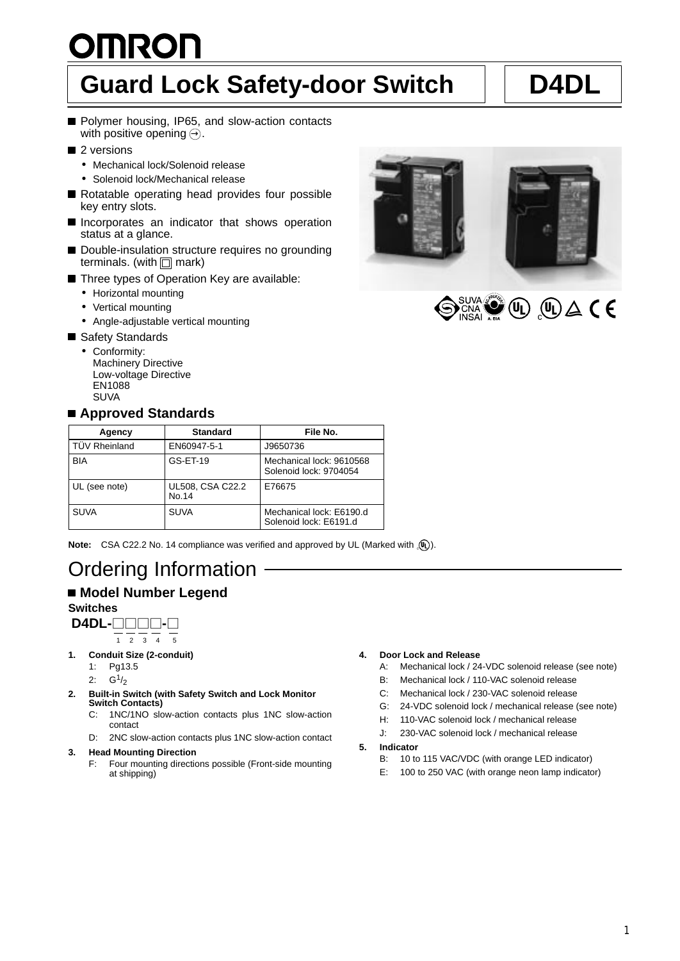# **OMRON Guard Lock Safety-door Switch D4DL**

- Polymer housing, IP65, and slow-action contacts with positive opening  $\ominus$ .
- 2 versions
	- Mechanical lock/Solenoid release
	- Solenoid lock/Mechanical release
- Rotatable operating head provides four possible key entry slots.
- **Incorporates an indicator that shows operation** status at a glance.
- Double-insulation structure requires no grounding terminals. (with  $\Box$  mark)
- Three types of Operation Key are available:
	- Horizontal mounting
	- Vertical mounting
	- Angle-adjustable vertical mounting
- Safety Standards
	- Conformity: Machinery Directive Low-voltage Directive EN1088 **SUVA**

## **Approved Standards**



| Agency               | <b>Standard</b>           | File No.                                           |
|----------------------|---------------------------|----------------------------------------------------|
| <b>TÜV Rheinland</b> | EN60947-5-1               | J9650736                                           |
| <b>BIA</b>           | GS-ET-19                  | Mechanical lock: 9610568<br>Solenoid lock: 9704054 |
| UL (see note)        | UL508, CSA C22.2<br>No.14 | E76675                                             |
| <b>SUVA</b>          | <b>SUVA</b>               | Mechanical lock: E6190.d<br>Solenoid lock: E6191.d |

**Note:** CSA C22.2 No. 14 compliance was verified and approved by UL (Marked with  $\langle \mathbf{u} \rangle$ ).

## Ordering Information

## **Model Number Legend**

### **Switches**



- **1. Conduit Size (2-conduit)**
	- 1: Pg13.5
	- 2:  $G^{1/2}$
- **2. Built-in Switch (with Safety Switch and Lock Monitor Switch Contacts)**
	- C: 1NC/1NO slow-action contacts plus 1NC slow-action contact
	- D: 2NC slow-action contacts plus 1NC slow-action contact

#### **3. Head Mounting Direction**

F: Four mounting directions possible (Front-side mounting at shipping)

#### **4. Door Lock and Release**

- A: Mechanical lock / 24-VDC solenoid release (see note)
- B: Mechanical lock / 110-VAC solenoid release
- C: Mechanical lock / 230-VAC solenoid release
- G: 24-VDC solenoid lock / mechanical release (see note)
- H: 110-VAC solenoid lock / mechanical release
- J: 230-VAC solenoid lock / mechanical release
- **5. Indicator**
	- B: 10 to 115 VAC/VDC (with orange LED indicator)
	- E: 100 to 250 VAC (with orange neon lamp indicator)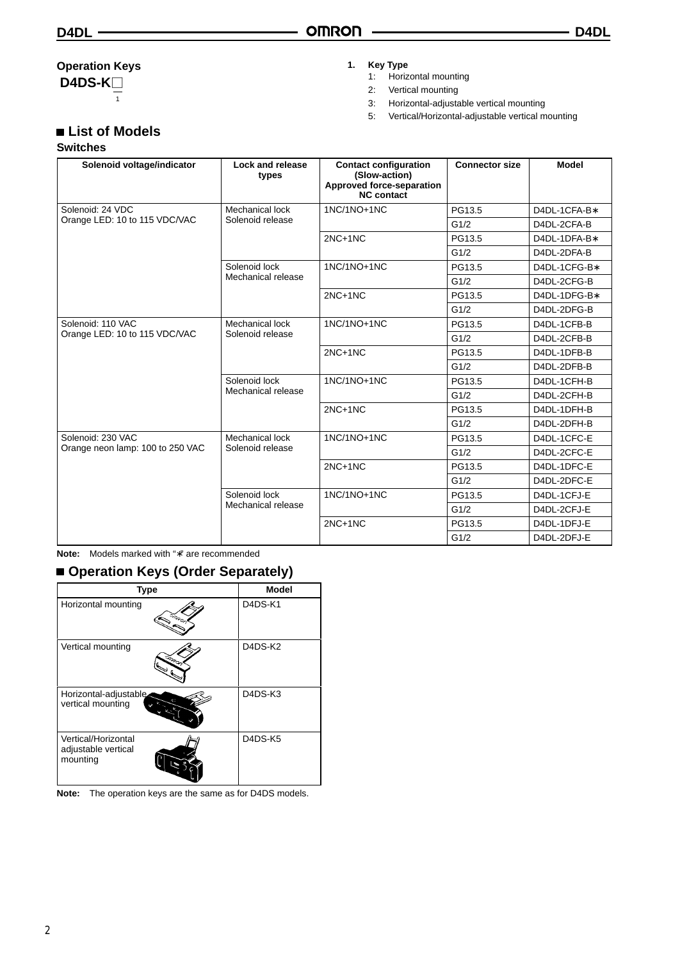## **Operation Keys**

**D4DS-K** 1

## **List of Models**

### **Switches**

### **1. Key Type**

- 1: Horizontal mounting
- 2: Vertical mounting
- 3: Horizontal-adjustable vertical mounting
- 5: Vertical/Horizontal-adjustable vertical mounting

| Solenoid voltage/indicator       | Lock and release<br>types           | <b>Contact configuration</b><br>(Slow-action)<br>Approved force-separation<br><b>NC</b> contact | <b>Connector size</b> | <b>Model</b> |
|----------------------------------|-------------------------------------|-------------------------------------------------------------------------------------------------|-----------------------|--------------|
| Solenoid: 24 VDC                 | Mechanical lock                     | 1NC/1NO+1NC                                                                                     | PG13.5                | D4DL-1CFA-B* |
| Orange LED: 10 to 115 VDC/VAC    | Solenoid release                    |                                                                                                 | G1/2                  | D4DL-2CFA-B  |
|                                  |                                     | $2NC+1NC$                                                                                       | PG13.5                | D4DL-1DFA-B* |
|                                  |                                     |                                                                                                 | G1/2                  | D4DL-2DFA-B  |
|                                  | Solenoid lock                       | 1NC/1NO+1NC                                                                                     | PG13.5                | D4DL-1CFG-B* |
|                                  | Mechanical release                  |                                                                                                 | G1/2                  | D4DL-2CFG-B  |
|                                  |                                     | $2NC+1NC$                                                                                       | PG13.5                | D4DL-1DFG-B* |
|                                  |                                     |                                                                                                 | G1/2                  | D4DL-2DFG-B  |
| Solenoid: 110 VAC                | Mechanical lock<br>Solenoid release | 1NC/1NO+1NC                                                                                     | PG13.5                | D4DL-1CFB-B  |
| Orange LED: 10 to 115 VDC/VAC    |                                     |                                                                                                 | G1/2                  | D4DL-2CFB-B  |
|                                  |                                     | $2NC+1NC$                                                                                       | PG13.5                | D4DL-1DFB-B  |
|                                  |                                     |                                                                                                 | G1/2                  | D4DL-2DFB-B  |
|                                  | Solenoid lock<br>Mechanical release | 1NC/1NO+1NC                                                                                     | PG13.5                | D4DL-1CFH-B  |
|                                  |                                     |                                                                                                 | G1/2                  | D4DL-2CFH-B  |
|                                  |                                     | $2NC+1NC$                                                                                       | PG13.5                | D4DL-1DFH-B  |
|                                  |                                     |                                                                                                 | G1/2                  | D4DL-2DFH-B  |
| Solenoid: 230 VAC                | Mechanical lock                     | 1NC/1NO+1NC                                                                                     | PG13.5                | D4DL-1CFC-E  |
| Orange neon lamp: 100 to 250 VAC | Solenoid release                    |                                                                                                 | G1/2                  | D4DL-2CFC-E  |
|                                  |                                     | $2NC+1NC$                                                                                       | PG13.5                | D4DL-1DFC-E  |
|                                  |                                     |                                                                                                 | G1/2                  | D4DL-2DFC-E  |
|                                  | Solenoid lock                       | 1NC/1NO+1NC                                                                                     | PG13.5                | D4DL-1CFJ-E  |
|                                  | Mechanical release                  |                                                                                                 | G1/2                  | D4DL-2CFJ-E  |
|                                  |                                     | $2NC+1NC$                                                                                       | PG13.5                | D4DL-1DFJ-E  |
|                                  |                                     |                                                                                                 | G1/2                  | D4DL-2DFJ-E  |

**Note:** Models marked with "∗" are recommended

## ■ Operation Keys (Order Separately)

| <b>Type</b>                                            | <b>Model</b>                                  |
|--------------------------------------------------------|-----------------------------------------------|
| Horizontal mounting                                    | D <sub>4</sub> D <sub>S</sub> -K <sub>1</sub> |
| Vertical mounting<br>نبحتين                            | D4DS-K2                                       |
| Horizontal-adjustable<br>vertical mounting             | D4DS-K3                                       |
| Vertical/Horizontal<br>adjustable vertical<br>mounting | D4DS-K5                                       |

**Note:** The operation keys are the same as for D4DS models.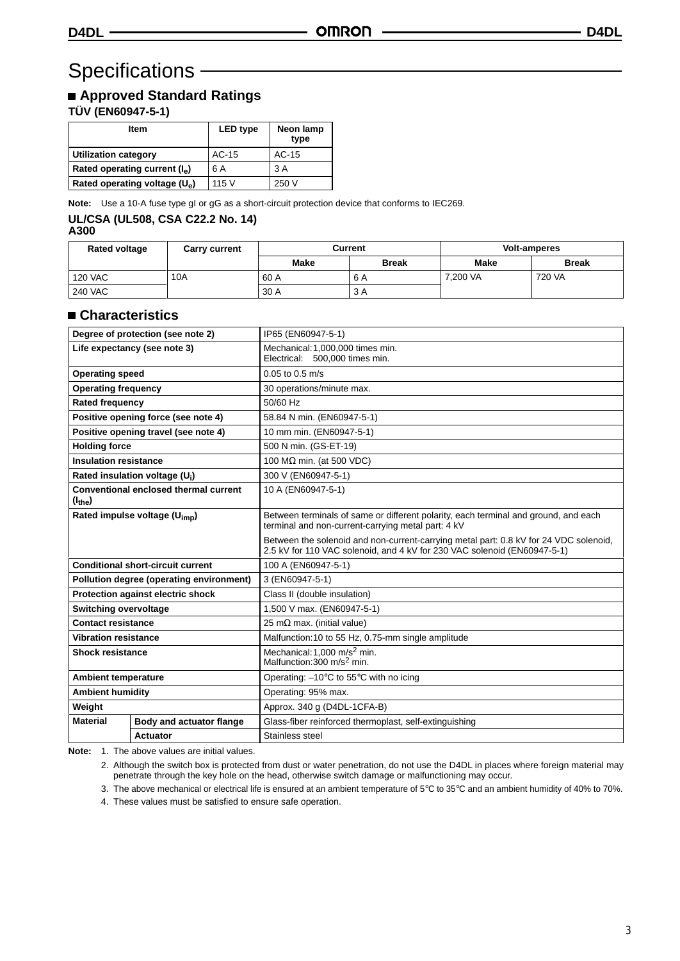## Specifications —

## **Approved Standard Ratings**

**TÜV (EN60947-5-1)**

| <b>Item</b>                            | <b>LED</b> type | Neon lamp<br>type |
|----------------------------------------|-----------------|-------------------|
| <b>Utilization category</b>            | AC-15           | $AC-15$           |
| Rated operating current $(I_{\alpha})$ | 6 A             | 3 A               |
| Rated operating voltage $(U_a)$        | 115V            | 250 V             |

Note: Use a 10-A fuse type gI or gG as a short-circuit protection device that conforms to IEC269.

#### **UL/CSA (UL508, CSA C22.2 No. 14) A300**

| ×<br>۰. | ۰. |  |
|---------|----|--|
|         |    |  |

| <b>Rated voltage</b> | <b>Carry current</b> | Current |              |             | <b>Volt-amperes</b> |
|----------------------|----------------------|---------|--------------|-------------|---------------------|
|                      |                      | Make    | <b>Break</b> | <b>Make</b> | <b>Break</b>        |
| <b>120 VAC</b>       | 10A                  | 60 A    | 6 A          | 7.200 VA    | 720 VA              |
| <b>240 VAC</b>       |                      | 30 A    | 3 A          |             |                     |

## **Characteristics**

| Degree of protection (see note 2)         |                                                 | IP65 (EN60947-5-1)                                                                                                                                                |  |
|-------------------------------------------|-------------------------------------------------|-------------------------------------------------------------------------------------------------------------------------------------------------------------------|--|
| Life expectancy (see note 3)              |                                                 | Mechanical: 1,000,000 times min.<br>Electrical: 500,000 times min.                                                                                                |  |
| <b>Operating speed</b>                    |                                                 | $0.05$ to $0.5$ m/s                                                                                                                                               |  |
| <b>Operating frequency</b>                |                                                 | 30 operations/minute max.                                                                                                                                         |  |
| <b>Rated frequency</b>                    |                                                 | 50/60 Hz                                                                                                                                                          |  |
|                                           | Positive opening force (see note 4)             | 58.84 N min. (EN60947-5-1)                                                                                                                                        |  |
|                                           | Positive opening travel (see note 4)            | 10 mm min. (EN60947-5-1)                                                                                                                                          |  |
| <b>Holding force</b>                      |                                                 | 500 N min. (GS-ET-19)                                                                                                                                             |  |
| <b>Insulation resistance</b>              |                                                 | 100 $M\Omega$ min. (at 500 VDC)                                                                                                                                   |  |
|                                           | Rated insulation voltage (U;)                   | 300 V (EN60947-5-1)                                                                                                                                               |  |
| (I <sub>the</sub> )                       | Conventional enclosed thermal current           | 10 A (EN60947-5-1)                                                                                                                                                |  |
| Rated impulse voltage (U <sub>imp</sub> ) |                                                 | Between terminals of same or different polarity, each terminal and ground, and each<br>terminal and non-current-carrying metal part: 4 kV                         |  |
|                                           |                                                 | Between the solenoid and non-current-carrying metal part: 0.8 kV for 24 VDC solenoid,<br>2.5 kV for 110 VAC solenoid, and 4 kV for 230 VAC solenoid (EN60947-5-1) |  |
|                                           | <b>Conditional short-circuit current</b>        | 100 A (EN60947-5-1)                                                                                                                                               |  |
|                                           | <b>Pollution degree (operating environment)</b> | 3 (EN60947-5-1)                                                                                                                                                   |  |
|                                           | <b>Protection against electric shock</b>        | Class II (double insulation)                                                                                                                                      |  |
| <b>Switching overvoltage</b>              |                                                 | 1,500 V max. (EN60947-5-1)                                                                                                                                        |  |
| <b>Contact resistance</b>                 |                                                 | 25 m $\Omega$ max. (initial value)                                                                                                                                |  |
| <b>Vibration resistance</b>               |                                                 | Malfunction: 10 to 55 Hz, 0.75-mm single amplitude                                                                                                                |  |
| <b>Shock resistance</b>                   |                                                 | Mechanical: 1,000 m/s <sup>2</sup> min.<br>Malfunction: 300 m/s <sup>2</sup> min.                                                                                 |  |
| <b>Ambient temperature</b>                |                                                 | Operating: $-10^{\circ}$ C to 55 $^{\circ}$ C with no icing                                                                                                       |  |
| <b>Ambient humidity</b>                   |                                                 | Operating: 95% max.                                                                                                                                               |  |
| Weight                                    |                                                 | Approx. 340 g (D4DL-1CFA-B)                                                                                                                                       |  |
| <b>Material</b>                           | Body and actuator flange                        | Glass-fiber reinforced thermoplast, self-extinguishing                                                                                                            |  |
|                                           | Actuator                                        | Stainless steel                                                                                                                                                   |  |

**Note:** 1. The above values are initial values.

2. Although the switch box is protected from dust or water penetration, do not use the D4DL in places where foreign material may penetrate through the key hole on the head, otherwise switch damage or malfunctioning may occur.

3. The above mechanical or electrical life is ensured at an ambient temperature of 5°C to 35°C and an ambient humidity of 40% to 70%.

4. These values must be satisfied to ensure safe operation.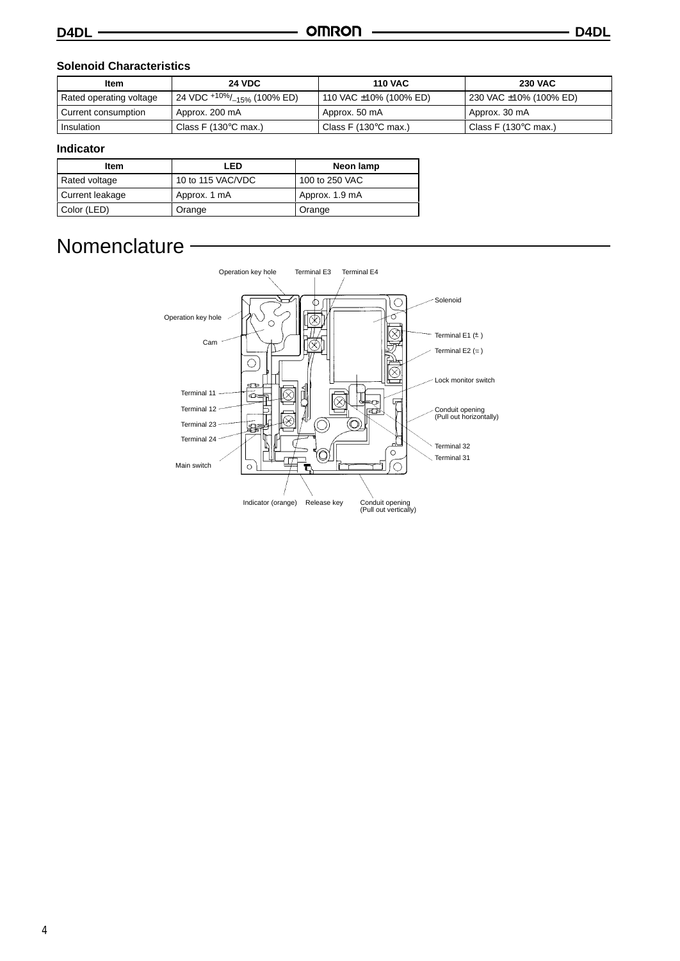### **Solenoid Characteristics**

| Item                    | <b>24 VDC</b>                                      | <b>110 VAC</b>                 | <b>230 VAC</b>                 |
|-------------------------|----------------------------------------------------|--------------------------------|--------------------------------|
| Rated operating voltage | 24 VDC <sup>+10%</sup> /_ <sub>15%</sub> (100% ED) | 110 VAC ±10% (100% ED)         | 230 VAC ±10% (100% ED)         |
| Current consumption     | Approx. 200 mA                                     | Approx. 50 mA                  | Approx. 30 mA                  |
| Insulation              | Class F $(130^{\circ}$ C max.)                     | Class F (130 $\degree$ C max.) | Class F $(130^{\circ}$ C max.) |

### **Indicator**

| <b>Item</b>     | LED               | Neon lamp      |
|-----------------|-------------------|----------------|
| Rated voltage   | 10 to 115 VAC/VDC | 100 to 250 VAC |
| Current leakage | Approx. 1 mA      | Approx. 1.9 mA |
| Color (LED)     | Orange            | Orange         |

## **Nomenclature**

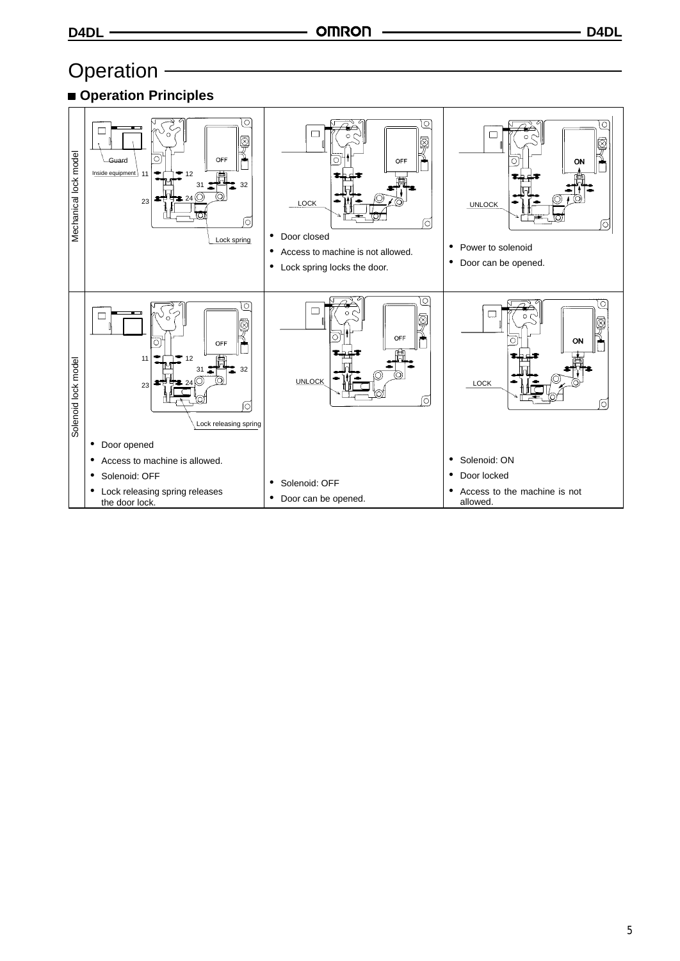## Operation -



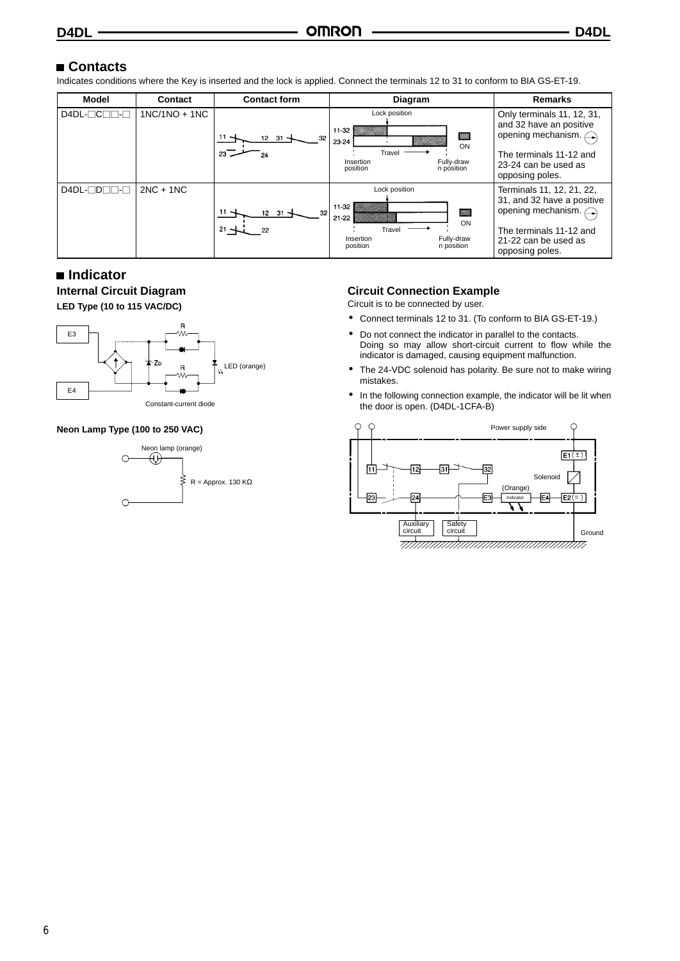## ■ Contacts

Indicates conditions where the Key is inserted and the lock is applied. Connect the terminals 12 to 31 to conform to BIA GS-ET-19.

| <b>Model</b>                     | <b>Contact</b>  | <b>Contact form</b>                         | <b>Diagram</b>                                                                                                                     | <b>Remarks</b>                                                                                                                                                |
|----------------------------------|-----------------|---------------------------------------------|------------------------------------------------------------------------------------------------------------------------------------|---------------------------------------------------------------------------------------------------------------------------------------------------------------|
| $D4DL$ - $C$ $D$ - $E$           | $1NC/1NO + 1NC$ | $11 -$<br>32<br>12 31<br>23                 | Lock position<br>$11-32$<br>$\overline{\phantom{a}}$<br>23-24<br>ON<br>Travel<br>Fully-draw<br>Insertion<br>n position<br>position | Only terminals 11, 12, 31,<br>and 32 have an positive<br>opening mechanism. $\bigcap$<br>The terminals 11-12 and<br>23-24 can be used as<br>opposing poles.   |
| $D4DL$ - $D$ $D$ $\neg$ - $\neg$ | $2NC + 1NC$     | $11 -$<br>32<br>$12 \t31$ -<br>$21 -$<br>22 | Lock position<br>$11-32$<br>▓▓<br>$21 - 22$<br>ON<br>Travel<br>Fully-draw<br>Insertion<br>n position<br>position                   | Terminals 11, 12, 21, 22,<br>31, and 32 have a positive<br>opening mechanism. $\bigcap$<br>The terminals 11-12 and<br>21-22 can be used as<br>opposing poles. |

### **Indicator Internal Circuit Diagram LED Type (10 to 115 VAC/DC)**



#### **Neon Lamp Type (100 to 250 VAC)**



## **Circuit Connection Example**

Circuit is to be connected by user.

- Connect terminals 12 to 31. (To conform to BIA GS-ET-19.)
- Do not connect the indicator in parallel to the contacts. Doing so may allow short-circuit current to flow while the indicator is damaged, causing equipment malfunction.
- The 24-VDC solenoid has polarity. Be sure not to make wiring mistakes.
- In the following connection example, the indicator will be lit when the door is open. (D4DL-1CFA-B)

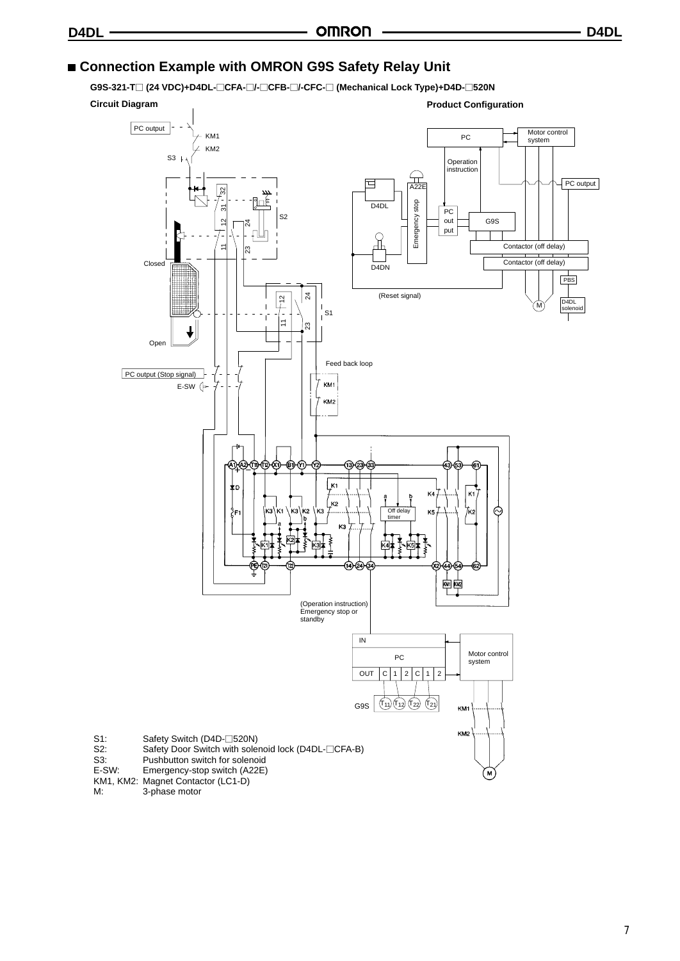## **Connection Example with OMRON G9S Safety Relay Unit**

**G9S-321-T (24 VDC)+D4DL-CFA-/-CFB-/-CFC- (Mechanical Lock Type)+D4D-520N**

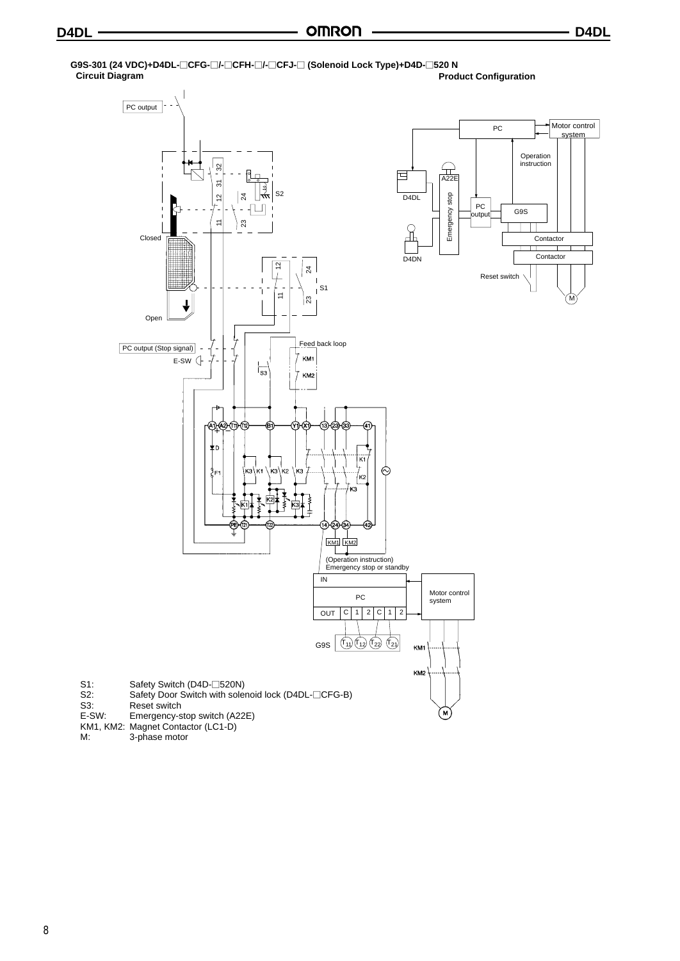#### **G9S-301 (24 VDC)+D4DL-CFG-/-CFH-/-CFJ- (Solenoid Lock Type)+D4D-520 N Product Configuration** PC output Motor control PC system Operation instruction k  $\widehat{A}$ <br> $\widehat{A}$ <br> $\widehat{A}$ <br> $\widehat{2}$ <br> $\widehat{E}$ <u>า<br>2</u><br>24<br>24 同 S2  $\overline{D4D}$ Emergency stop Emergency stop 11 23 24 12 1123  $PC \nightharpoonup \nightharpoonup \nightharpoonup \nightharpoonup \nightharpoonup \nightharpoonup \nightharpoonup \nightharpoonup$ outpu Closed Contactor  $\top$ **Contactor**  $D4DN$ 12 111 Reset switch Hull S1 M Open  $\boxed{\text{PC output (Stop signal)} - \nightharpoonup - \nightharpoonup \nightharpoonup - \nightharpoonup \nightharpoonup \nightharpoonup \nightharpoonup \nightharpoonup \nightharpoonup \nightharpoonup \nightharpoonup \nightharpoonup \nightharpoonup \nightharpoonup \nightharpoonup \nightharpoonup \nightharpoonup \nightharpoonup \nightharpoonup \nightharpoonup \nightharpoonup \nightharpoonup \nightharpoonup \nightharpoonup \nightharpoonup \nightharpoonup \nightharpoonup \nightharpoonup \nightharpoonup \nightharpoonup \nightharpoonup \nightharpoonup \nightharpoonup \nightharpoonup \n$ KM1 E-SW  $\vert_{s_3}$ KM<sub>2</sub> ਐრ ന്ദാം കൂടാ (3∖k. .<br>K2  $\circledcirc$ 9⊧ /ĸ2 ่หจ ₹ 厚工 KM<sub>1</sub> KM<sub>2</sub> (Operation instruction) Emergency stop or standby  $\overline{M}$ PC Motor control system  $OUT C 1 2 C 12$ G9S T11 T12 T22 T21 KM KM: S1: Safety Switch (D4D-□520N) S2: Safety Door Switch with solenoid lock (D4DL-CFG-B)

- S3: Reset switch<br>E-SW: Emergency-s Emergency-stop switch (A22E)
- KM1, KM2: Magnet Contactor (LC1-D)<br>M: 3-phase motor
- 3-phase motor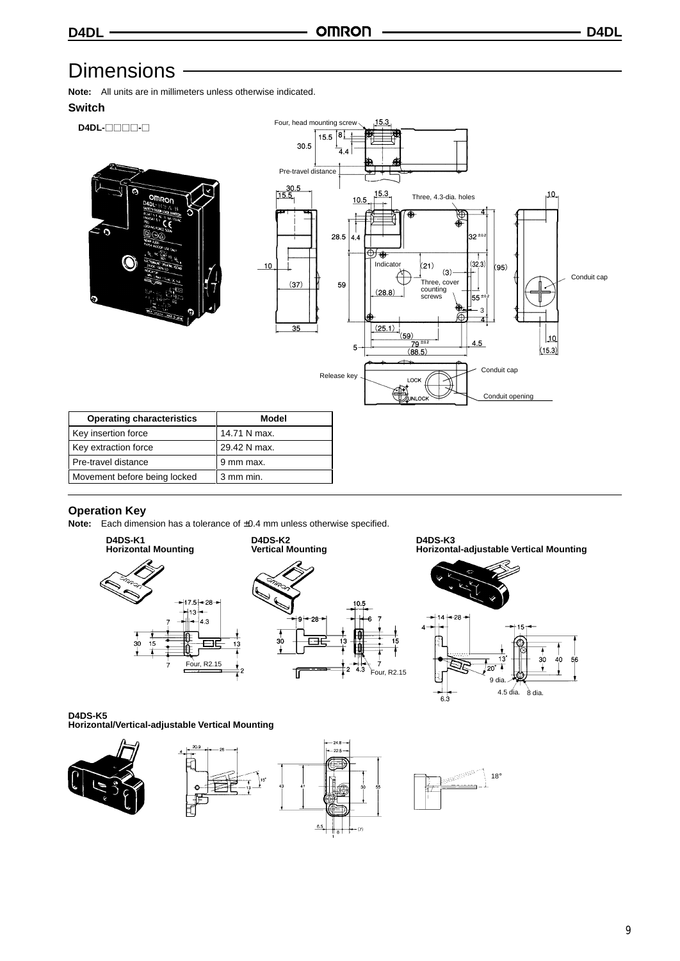## **Dimensions**

**Note:** All units are in millimeters unless otherwise indicated.

## **Switch**



### **Operation Key**

**Note:** Each dimension has a tolerance of ±0.4 mm unless otherwise specified.



**D4DS-K3 Horizontal-adjustable Vertical Mounting**



**D4DS-K5 Horizontal/Vertical-adjustable Vertical Mounting**

Pre-travel distance 9 mm max. Movement before being locked 3 mm min.

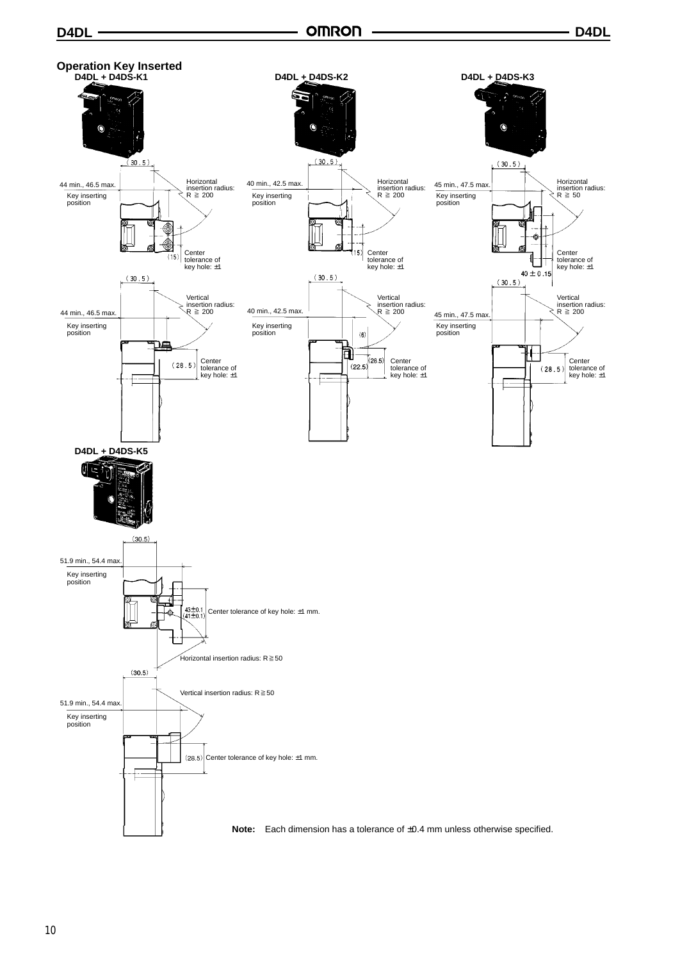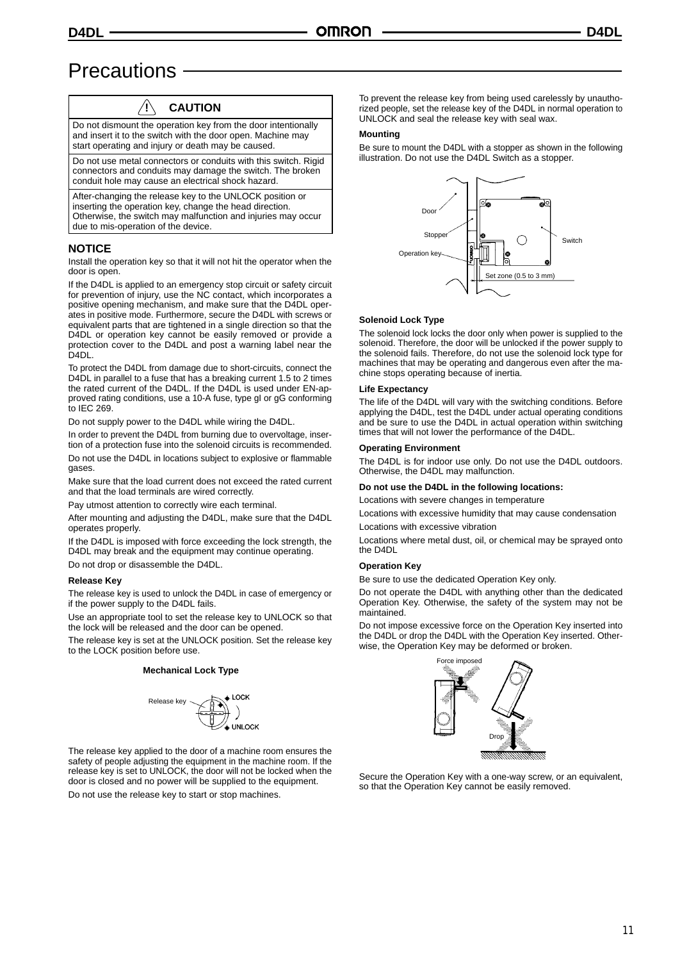## **Precautions**

## **! CAUTION**

Do not dismount the operation key from the door intentionally and insert it to the switch with the door open. Machine may start operating and injury or death may be caused.

Do not use metal connectors or conduits with this switch. Rigid connectors and conduits may damage the switch. The broken conduit hole may cause an electrical shock hazard.

After-changing the release key to the UNLOCK position or inserting the operation key, change the head direction. Otherwise, the switch may malfunction and injuries may occur due to mis-operation of the device.

### **NOTICE**

Install the operation key so that it will not hit the operator when the door is open.

If the D4DL is applied to an emergency stop circuit or safety circuit for prevention of injury, use the NC contact, which incorporates a positive opening mechanism, and make sure that the D4DL operates in positive mode. Furthermore, secure the D4DL with screws or equivalent parts that are tightened in a single direction so that the D4DL or operation key cannot be easily removed or provide a protection cover to the D4DL and post a warning label near the D4DL.

To protect the D4DL from damage due to short-circuits, connect the D4DL in parallel to a fuse that has a breaking current 1.5 to 2 times the rated current of the D4DL. If the D4DL is used under EN-approved rating conditions, use a 10-A fuse, type gI or gG conforming to IEC 269.

Do not supply power to the D4DL while wiring the D4DL.

In order to prevent the D4DL from burning due to overvoltage, insertion of a protection fuse into the solenoid circuits is recommended.

Do not use the D4DL in locations subject to explosive or flammable gases.

Make sure that the load current does not exceed the rated current and that the load terminals are wired correctly.

Pay utmost attention to correctly wire each terminal.

After mounting and adjusting the D4DL, make sure that the D4DL operates properly.

If the D4DL is imposed with force exceeding the lock strength, the D4DL may break and the equipment may continue operating.

Do not drop or disassemble the D4DL.

#### **Release Key**

The release key is used to unlock the D4DL in case of emergency or if the power supply to the D4DL fails.

Use an appropriate tool to set the release key to UNLOCK so that the lock will be released and the door can be opened.

The release key is set at the UNLOCK position. Set the release key to the LOCK position before use.

#### **Mechanical Lock Type**



The release key applied to the door of a machine room ensures the safety of people adjusting the equipment in the machine room. If the release key is set to UNLOCK, the door will not be locked when the door is closed and no power will be supplied to the equipment. Do not use the release key to start or stop machines.

To prevent the release key from being used carelessly by unauthorized people, set the release key of the D4DL in normal operation to UNLOCK and seal the release key with seal wax.

#### **Mounting**

Be sure to mount the D4DL with a stopper as shown in the following illustration. Do not use the D4DL Switch as a stopper.



#### **Solenoid Lock Type**

The solenoid lock locks the door only when power is supplied to the solenoid. Therefore, the door will be unlocked if the power supply to the solenoid fails. Therefore, do not use the solenoid lock type for machines that may be operating and dangerous even after the machine stops operating because of inertia.

#### **Life Expectancy**

The life of the D4DL will vary with the switching conditions. Before applying the D4DL, test the D4DL under actual operating conditions and be sure to use the D4DL in actual operation within switching times that will not lower the performance of the D4DL.

#### **Operating Environment**

The D4DL is for indoor use only. Do not use the D4DL outdoors. Otherwise, the D4DL may malfunction.

#### **Do not use the D4DL in the following locations:**

Locations with severe changes in temperature

Locations with excessive humidity that may cause condensation Locations with excessive vibration

Locations where metal dust, oil, or chemical may be sprayed onto the D4DL

#### **Operation Key**

Be sure to use the dedicated Operation Key only.

Do not operate the D4DL with anything other than the dedicated Operation Key. Otherwise, the safety of the system may not be maintained.

Do not impose excessive force on the Operation Key inserted into the D4DL or drop the D4DL with the Operation Key inserted. Otherwise, the Operation Key may be deformed or broken.



Secure the Operation Key with a one-way screw, or an equivalent, so that the Operation Key cannot be easily removed.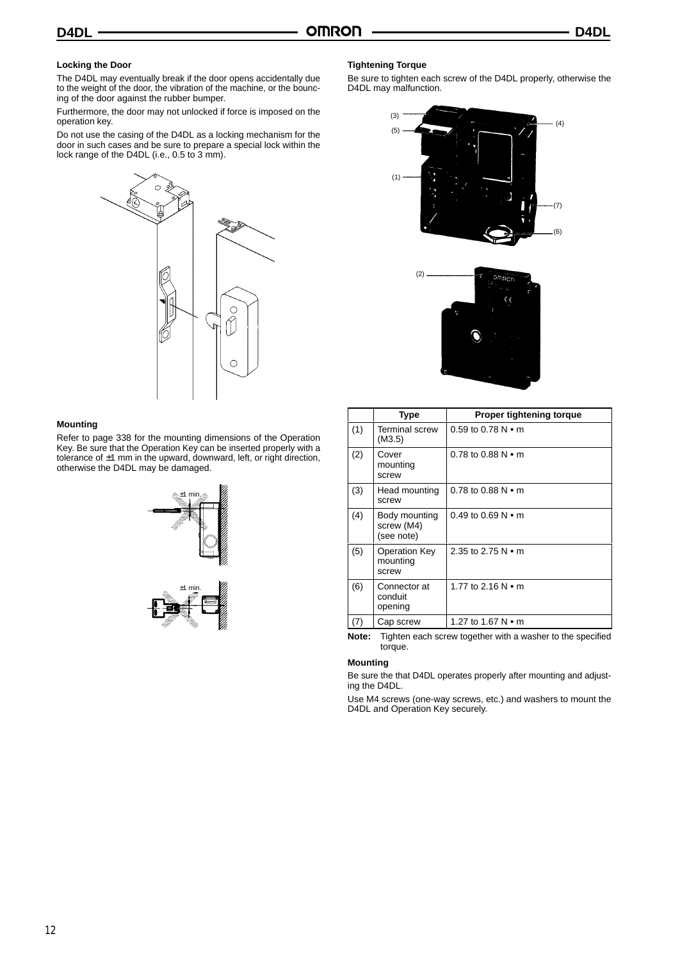### **Locking the Door**

The D4DL may eventually break if the door opens accidentally due to the weight of the door, the vibration of the machine, or the bouncing of the door against the rubber bumper.

Furthermore, the door may not unlocked if force is imposed on the operation key.

Do not use the casing of the D4DL as a locking mechanism for the door in such cases and be sure to prepare a special lock within the lock range of the D4DL (i.e., 0.5 to 3 mm).



#### **Mounting**

Refer to page 338 for the mounting dimensions of the Operation Key. Be sure that the Operation Key can be inserted properly with a tolerance of ±1 mm in the upward, downward, left, or right direction, otherwise the D4DL may be damaged.





## (3) (5)  $(1)$  $(7)$ (6)  $\overline{A}$



|     | Type                                      | Proper tightening torque     |
|-----|-------------------------------------------|------------------------------|
| (1) | <b>Terminal screw</b><br>(M3.5)           | $0.59$ to $0.78$ N $\cdot$ m |
| (2) | Cover<br>mounting<br>screw                | 0.78 to 0.88 $N \cdot m$     |
| (3) | Head mounting<br>screw                    | $0.78$ to 0.88 N $\bullet$ m |
| (4) | Body mounting<br>screw (M4)<br>(see note) | 0.49 to 0.69 $N \cdot m$     |
| (5) | Operation Key<br>mounting<br>screw        | 2.35 to 2.75 $N \cdot m$     |
| (6) | Connector at<br>conduit<br>opening        | 1.77 to 2.16 $N \cdot m$     |
| (7) | Cap screw                                 | 1.27 to 1.67 N • m           |

**Note:** Tighten each screw together with a washer to the specified torque.

#### **Mounting**

Be sure the that D4DL operates properly after mounting and adjusting the D4DL.

Use M4 screws (one-way screws, etc.) and washers to mount the D4DL and Operation Key securely.